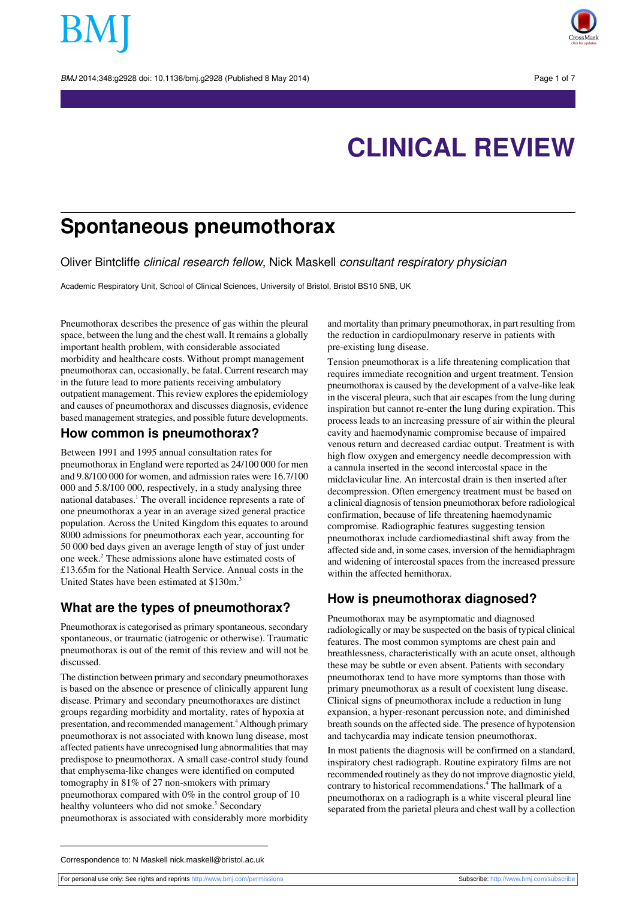BMJ 2014;348:g2928 doi: 10.1136/bmj.g2928 (Published 8 May 2014) Page 1 of 7



# **CLINICAL REVIEW**

## **Spontaneous pneumothorax**

Oliver Bintcliffe clinical research fellow, Nick Maskell consultant respiratory physician

Academic Respiratory Unit, School of Clinical Sciences, University of Bristol, Bristol BS10 5NB, UK

Pneumothorax describes the presence of gas within the pleural space, between the lung and the chest wall. It remains a globally important health problem, with considerable associated morbidity and healthcare costs. Without prompt management pneumothorax can, occasionally, be fatal. Current research may in the future lead to more patients receiving ambulatory outpatient management. This review explores the epidemiology and causes of pneumothorax and discusses diagnosis, evidence based management strategies, and possible future developments.

#### **How common is pneumothorax?**

Between 1991 and 1995 annual consultation rates for pneumothorax in England were reported as 24/100 000 for men and 9.8/100 000 for women, and admission rates were 16.7/100 000 and 5.8/100 000, respectively, in a study analysing three national databases.<sup>1</sup> The overall incidence represents a rate of one pneumothorax a year in an average sized general practice population. Across the United Kingdom this equates to around 8000 admissions for pneumothorax each year, accounting for 50 000 bed days given an average length of stay of just under one week.<sup>2</sup> These admissions alone have estimated costs of £13.65m for the National Health Service. Annual costs in the United States have been estimated at \$130m.<sup>3</sup>

## **What are the types of pneumothorax?**

Pneumothorax is categorised as primary spontaneous, secondary spontaneous, or traumatic (iatrogenic or otherwise). Traumatic pneumothorax is out of the remit of this review and will not be discussed.

The distinction between primary and secondary pneumothoraxes is based on the absence or presence of clinically apparent lung disease. Primary and secondary pneumothoraxes are distinct groups regarding morbidity and mortality, rates of hypoxia at presentation, and recommended management.<sup>4</sup> Although primary pneumothorax is not associated with known lung disease, most affected patients have unrecognised lung abnormalities that may predispose to pneumothorax. A small case-control study found that emphysema-like changes were identified on computed tomography in 81% of 27 non-smokers with primary pneumothorax compared with 0% in the control group of 10 healthy volunteers who did not smoke.<sup>5</sup> Secondary pneumothorax is associated with considerably more morbidity

and mortality than primary pneumothorax, in part resulting from the reduction in cardiopulmonary reserve in patients with pre-existing lung disease.

Tension pneumothorax is a life threatening complication that requires immediate recognition and urgent treatment. Tension pneumothorax is caused by the development of a valve-like leak in the visceral pleura, such that air escapes from the lung during inspiration but cannot re-enter the lung during expiration. This process leads to an increasing pressure of air within the pleural cavity and haemodynamic compromise because of impaired venous return and decreased cardiac output. Treatment is with high flow oxygen and emergency needle decompression with a cannula inserted in the second intercostal space in the midclavicular line. An intercostal drain is then inserted after decompression. Often emergency treatment must be based on a clinical diagnosis of tension pneumothorax before radiological confirmation, because of life threatening haemodynamic compromise. Radiographic features suggesting tension pneumothorax include cardiomediastinal shift away from the affected side and, in some cases, inversion of the hemidiaphragm and widening of intercostal spaces from the increased pressure within the affected hemithorax.

## **How is pneumothorax diagnosed?**

Pneumothorax may be asymptomatic and diagnosed radiologically or may be suspected on the basis of typical clinical features. The most common symptoms are chest pain and breathlessness, characteristically with an acute onset, although these may be subtle or even absent. Patients with secondary pneumothorax tend to have more symptoms than those with primary pneumothorax as a result of coexistent lung disease. Clinical signs of pneumothorax include a reduction in lung expansion, a hyper-resonant percussion note, and diminished breath sounds on the affected side. The presence of hypotension and tachycardia may indicate tension pneumothorax.

In most patients the diagnosis will be confirmed on a standard, inspiratory chest radiograph. Routine expiratory films are not recommended routinely asthey do not improve diagnostic yield, contrary to historical recommendations.<sup>4</sup> The hallmark of a pneumothorax on a radiograph is a white visceral pleural line separated from the parietal pleura and chest wall by a collection

Correspondence to: N Maskell nick.maskell@bristol.ac.uk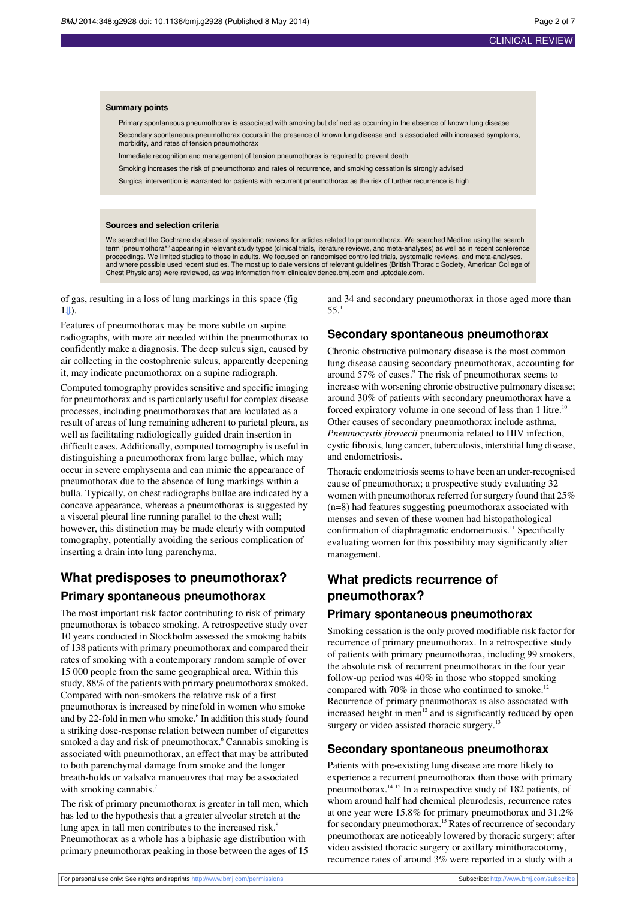#### CLINICAL REVIEW

#### **Summary points**

Primary spontaneous pneumothorax is associated with smoking but defined as occurring in the absence of known lung disease Secondary spontaneous pneumothorax occurs in the presence of known lung disease and is associated with increased symptoms, morbidity, and rates of tension pneumothorax

Immediate recognition and management of tension pneumothorax is required to prevent death

Smoking increases the risk of pneumothorax and rates of recurrence, and smoking cessation is strongly advised

Surgical intervention is warranted for patients with recurrent pneumothorax as the risk of further recurrence is high

#### **Sources and selection criteria**

We searched the Cochrane database of systematic reviews for articles related to pneumothorax. We searched Medline using the search term "pneumothora\*" appearing in relevant study types (clinical trials, literature reviews, and meta-analyses) as well as in recent conference proceedings. We limited studies to those in adults. We focused on randomised controlled trials, systematic reviews, and meta-analyses, and where possible used recent studies. The most up to date versions of relevant guidelines (British Thoracic Society, American College of Chest Physicians) were reviewed, as was information from clinicalevidence.bmj.com and uptodate.com.

of gas, resulting in a loss of lung markings in this space (fig  $1$ II).

Features of pneumothorax may be more subtle on supine radiographs, with more air needed within the pneumothorax to confidently make a diagnosis. The deep sulcus sign, caused by air collecting in the costophrenic sulcus, apparently deepening it, may indicate pneumothorax on a supine radiograph.

Computed tomography provides sensitive and specific imaging for pneumothorax and is particularly useful for complex disease processes, including pneumothoraxes that are loculated as a result of areas of lung remaining adherent to parietal pleura, as well as facilitating radiologically guided drain insertion in difficult cases. Additionally, computed tomography is useful in distinguishing a pneumothorax from large bullae, which may occur in severe emphysema and can mimic the appearance of pneumothorax due to the absence of lung markings within a bulla. Typically, on chest radiographs bullae are indicated by a concave appearance, whereas a pneumothorax is suggested by a visceral pleural line running parallel to the chest wall; however, this distinction may be made clearly with computed tomography, potentially avoiding the serious complication of inserting a drain into lung parenchyma.

## **What predisposes to pneumothorax?**

#### **Primary spontaneous pneumothorax**

The most important risk factor contributing to risk of primary pneumothorax is tobacco smoking. A retrospective study over 10 years conducted in Stockholm assessed the smoking habits of 138 patients with primary pneumothorax and compared their rates of smoking with a contemporary random sample of over 15 000 people from the same geographical area. Within this study, 88% of the patients with primary pneumothorax smoked. Compared with non-smokers the relative risk of a first pneumothorax is increased by ninefold in women who smoke and by 22-fold in men who smoke.<sup>6</sup> In addition this study found a striking dose-response relation between number of cigarettes smoked a day and risk of pneumothorax.<sup>6</sup> Cannabis smoking is associated with pneumothorax, an effect that may be attributed to both parenchymal damage from smoke and the longer breath-holds or valsalva manoeuvres that may be associated with smoking cannabis.<sup>7</sup>

The risk of primary pneumothorax is greater in tall men, which has led to the hypothesis that a greater alveolar stretch at the lung apex in tall men contributes to the increased risk. $8$ Pneumothorax as a whole has a biphasic age distribution with primary pneumothorax peaking in those between the ages of 15

and 34 and secondary pneumothorax in those aged more than 55.<sup>1</sup>

#### **Secondary spontaneous pneumothorax**

Chronic obstructive pulmonary disease is the most common lung disease causing secondary pneumothorax, accounting for around 57% of cases.<sup>9</sup> The risk of pneumothorax seems to increase with worsening chronic obstructive pulmonary disease; around 30% of patients with secondary pneumothorax have a forced expiratory volume in one second of less than 1 litre.<sup>10</sup> Other causes of secondary pneumothorax include asthma, *Pneumocystis jirovecii* pneumonia related to HIV infection, cystic fibrosis, lung cancer, tuberculosis, interstitial lung disease, and endometriosis.

Thoracic endometriosis seems to have been an under-recognised cause of pneumothorax; a prospective study evaluating 32 women with pneumothorax referred for surgery found that 25% (n=8) had features suggesting pneumothorax associated with menses and seven of these women had histopathological confirmation of diaphragmatic endometriosis.<sup>11</sup> Specifically evaluating women for this possibility may significantly alter management.

## **What predicts recurrence of pneumothorax?**

#### **Primary spontaneous pneumothorax**

Smoking cessation is the only proved modifiable risk factor for recurrence of primary pneumothorax. In a retrospective study of patients with primary pneumothorax, including 99 smokers, the absolute risk of recurrent pneumothorax in the four year follow-up period was 40% in those who stopped smoking compared with  $70\%$  in those who continued to smoke.<sup>12</sup> Recurrence of primary pneumothorax is also associated with increased height in men<sup>12</sup> and is significantly reduced by open surgery or video assisted thoracic surgery.<sup>13</sup>

#### **Secondary spontaneous pneumothorax**

Patients with pre-existing lung disease are more likely to experience a recurrent pneumothorax than those with primary pneumothorax.<sup>14</sup> <sup>15</sup> In a retrospective study of 182 patients, of whom around half had chemical pleurodesis, recurrence rates at one year were 15.8% for primary pneumothorax and 31.2% for secondary pneumothorax.<sup>15</sup> Rates of recurrence of secondary pneumothorax are noticeably lowered by thoracic surgery: after video assisted thoracic surgery or axillary minithoracotomy, recurrence rates of around 3% were reported in a study with a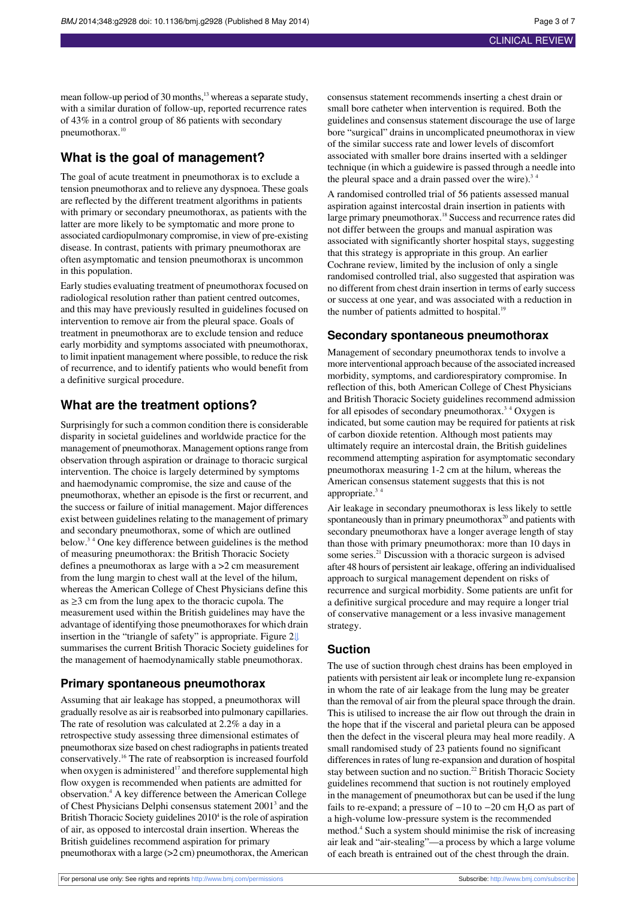mean follow-up period of 30 months,<sup>13</sup> whereas a separate study, with a similar duration of follow-up, reported recurrence rates of 43% in a control group of 86 patients with secondary pneumothorax. $10$ 

## **What is the goal of management?**

The goal of acute treatment in pneumothorax is to exclude a tension pneumothorax and to relieve any dyspnoea. These goals are reflected by the different treatment algorithms in patients with primary or secondary pneumothorax, as patients with the latter are more likely to be symptomatic and more prone to associated cardiopulmonary compromise, in view of pre-existing disease. In contrast, patients with primary pneumothorax are often asymptomatic and tension pneumothorax is uncommon in this population.

Early studies evaluating treatment of pneumothorax focused on radiological resolution rather than patient centred outcomes, and this may have previously resulted in guidelines focused on intervention to remove air from the pleural space. Goals of treatment in pneumothorax are to exclude tension and reduce early morbidity and symptoms associated with pneumothorax, to limit inpatient management where possible, to reduce the risk of recurrence, and to identify patients who would benefit from a definitive surgical procedure.

## **What are the treatment options?**

Surprisingly for such a common condition there is considerable disparity in societal guidelines and worldwide practice for the management of pneumothorax. Management options range from observation through aspiration or drainage to thoracic surgical intervention. The choice is largely determined by symptoms and haemodynamic compromise, the size and cause of the pneumothorax, whether an episode is the first or recurrent, and the success or failure of initial management. Major differences exist between guidelines relating to the management of primary and secondary pneumothorax, some of which are outlined below.<sup>3</sup> <sup>4</sup> One key difference between guidelines is the method of measuring pneumothorax: the British Thoracic Society defines a pneumothorax as large with a >2 cm measurement from the lung margin to chest wall at the level of the hilum, whereas the American College of Chest Physicians define this as  $\geq$ 3 cm from the lung apex to the thoracic cupola. The measurement used within the British guidelines may have the advantage of identifying those pneumothoraxes for which drain insertion in the "triangle of safety" is appropriate. Figure [2⇓](#page-6-1) summarises the current British Thoracic Society guidelines for the management of haemodynamically stable pneumothorax.

## **Primary spontaneous pneumothorax**

Assuming that air leakage has stopped, a pneumothorax will gradually resolve as air is reabsorbed into pulmonary capillaries. The rate of resolution was calculated at 2.2% a day in a retrospective study assessing three dimensional estimates of pneumothorax size based on chest radiographs in patients treated conservatively.<sup>16</sup> The rate of reabsorption is increased fourfold when oxygen is administered<sup>17</sup> and therefore supplemental high flow oxygen is recommended when patients are admitted for observation.<sup>4</sup> A key difference between the American College of Chest Physicians Delphi consensus statement 2001<sup>3</sup> and the British Thoracic Society guidelines 2010<sup>4</sup> is the role of aspiration of air, as opposed to intercostal drain insertion. Whereas the British guidelines recommend aspiration for primary pneumothorax with a large (>2 cm) pneumothorax, the American consensus statement recommends inserting a chest drain or small bore catheter when intervention is required. Both the guidelines and consensus statement discourage the use of large bore "surgical" drains in uncomplicated pneumothorax in view of the similar success rate and lower levels of discomfort associated with smaller bore drains inserted with a seldinger technique (in which a guidewire is passed through a needle into the pleural space and a drain passed over the wire).<sup>34</sup>

A randomised controlled trial of 56 patients assessed manual aspiration against intercostal drain insertion in patients with large primary pneumothorax.<sup>18</sup> Success and recurrence rates did not differ between the groups and manual aspiration was associated with significantly shorter hospital stays, suggesting that this strategy is appropriate in this group. An earlier Cochrane review, limited by the inclusion of only a single randomised controlled trial, also suggested that aspiration was no different from chest drain insertion in terms of early success or success at one year, and was associated with a reduction in the number of patients admitted to hospital.<sup>19</sup>

## **Secondary spontaneous pneumothorax**

Management of secondary pneumothorax tends to involve a more interventional approach because of the associated increased morbidity, symptoms, and cardiorespiratory compromise. In reflection of this, both American College of Chest Physicians and British Thoracic Society guidelines recommend admission for all episodes of secondary pneumothorax.<sup>34</sup> Oxygen is indicated, but some caution may be required for patients at risk of carbon dioxide retention. Although most patients may ultimately require an intercostal drain, the British guidelines recommend attempting aspiration for asymptomatic secondary pneumothorax measuring 1-2 cm at the hilum, whereas the American consensus statement suggests that this is not appropriate. $3<sup>4</sup>$ 

Air leakage in secondary pneumothorax is less likely to settle spontaneously than in primary pneumothorax<sup>20</sup> and patients with secondary pneumothorax have a longer average length of stay than those with primary pneumothorax: more than 10 days in some series.<sup>21</sup> Discussion with a thoracic surgeon is advised after 48 hours of persistent air leakage, offering an individualised approach to surgical management dependent on risks of recurrence and surgical morbidity. Some patients are unfit for a definitive surgical procedure and may require a longer trial of conservative management or a less invasive management strategy.

## **Suction**

The use of suction through chest drains has been employed in patients with persistent air leak or incomplete lung re-expansion in whom the rate of air leakage from the lung may be greater than the removal of air from the pleural space through the drain. This is utilised to increase the air flow out through the drain in the hope that if the visceral and parietal pleura can be apposed then the defect in the visceral pleura may heal more readily. A small randomised study of 23 patients found no significant differences in rates of lung re-expansion and duration of hospital stay between suction and no suction.<sup>22</sup> British Thoracic Society guidelines recommend that suction is not routinely employed in the management of pneumothorax but can be used if the lung fails to re-expand; a pressure of  $-10$  to  $-20$  cm  $H<sub>2</sub>O$  as part of a high-volume low-pressure system is the recommended method.<sup>4</sup> Such a system should minimise the risk of increasing air leak and "air-stealing"—a process by which a large volume of each breath is entrained out of the chest through the drain.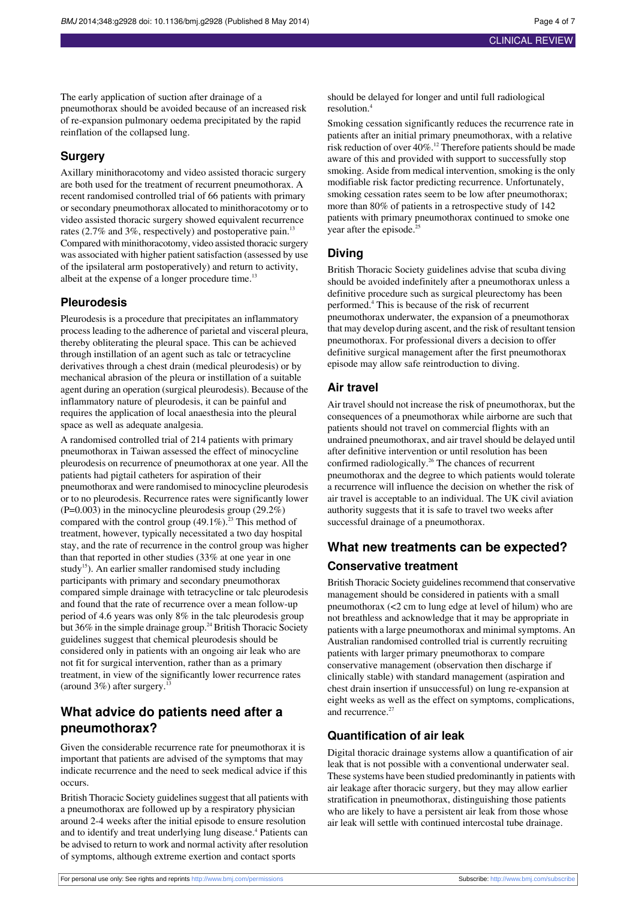The early application of suction after drainage of a pneumothorax should be avoided because of an increased risk of re-expansion pulmonary oedema precipitated by the rapid reinflation of the collapsed lung.

## **Surgery**

Axillary minithoracotomy and video assisted thoracic surgery are both used for the treatment of recurrent pneumothorax. A recent randomised controlled trial of 66 patients with primary or secondary pneumothorax allocated to minithoracotomy or to video assisted thoracic surgery showed equivalent recurrence rates  $(2.7\%$  and 3%, respectively) and postoperative pain.<sup>13</sup> Compared with minithoracotomy, video assisted thoracic surgery was associated with higher patient satisfaction (assessed by use of the ipsilateral arm postoperatively) and return to activity, albeit at the expense of a longer procedure time.<sup>13</sup>

## **Pleurodesis**

Pleurodesis is a procedure that precipitates an inflammatory process leading to the adherence of parietal and visceral pleura, thereby obliterating the pleural space. This can be achieved through instillation of an agent such as talc or tetracycline derivatives through a chest drain (medical pleurodesis) or by mechanical abrasion of the pleura or instillation of a suitable agent during an operation (surgical pleurodesis). Because of the inflammatory nature of pleurodesis, it can be painful and requires the application of local anaesthesia into the pleural space as well as adequate analgesia.

A randomised controlled trial of 214 patients with primary pneumothorax in Taiwan assessed the effect of minocycline pleurodesis on recurrence of pneumothorax at one year. All the patients had pigtail catheters for aspiration of their pneumothorax and were randomised to minocycline pleurodesis or to no pleurodesis. Recurrence rates were significantly lower  $(P=0.003)$  in the minocycline pleurodesis group  $(29.2\%)$ compared with the control group  $(49.1\%)$ .<sup>23</sup> This method of treatment, however, typically necessitated a two day hospital stay, and the rate of recurrence in the control group was higher than that reported in other studies (33% at one year in one study<sup>15</sup>). An earlier smaller randomised study including participants with primary and secondary pneumothorax compared simple drainage with tetracycline or talc pleurodesis and found that the rate of recurrence over a mean follow-up period of 4.6 years was only 8% in the talc pleurodesis group but 36% in the simple drainage group.<sup>24</sup> British Thoracic Society guidelines suggest that chemical pleurodesis should be considered only in patients with an ongoing air leak who are not fit for surgical intervention, rather than as a primary treatment, in view of the significantly lower recurrence rates (around 3%) after surgery.<sup>1</sup>

## **What advice do patients need after a pneumothorax?**

Given the considerable recurrence rate for pneumothorax it is important that patients are advised of the symptoms that may indicate recurrence and the need to seek medical advice if this occurs.

British Thoracic Society guidelines suggest that all patients with a pneumothorax are followed up by a respiratory physician around 2-4 weeks after the initial episode to ensure resolution and to identify and treat underlying lung disease.<sup>4</sup> Patients can be advised to return to work and normal activity after resolution of symptoms, although extreme exertion and contact sports

should be delayed for longer and until full radiological resolution.<sup>4</sup>

Smoking cessation significantly reduces the recurrence rate in patients after an initial primary pneumothorax, with a relative risk reduction of over  $40\%$ .<sup>12</sup> Therefore patients should be made aware of this and provided with support to successfully stop smoking. Aside from medical intervention, smoking is the only modifiable risk factor predicting recurrence. Unfortunately, smoking cessation rates seem to be low after pneumothorax; more than 80% of patients in a retrospective study of 142 patients with primary pneumothorax continued to smoke one year after the episode.<sup>25</sup>

## **Diving**

British Thoracic Society guidelines advise that scuba diving should be avoided indefinitely after a pneumothorax unless a definitive procedure such as surgical pleurectomy has been performed.<sup>4</sup> This is because of the risk of recurrent pneumothorax underwater, the expansion of a pneumothorax that may develop during ascent, and the risk of resultant tension pneumothorax. For professional divers a decision to offer definitive surgical management after the first pneumothorax episode may allow safe reintroduction to diving.

## **Air travel**

Air travel should not increase the risk of pneumothorax, but the consequences of a pneumothorax while airborne are such that patients should not travel on commercial flights with an undrained pneumothorax, and air travel should be delayed until after definitive intervention or until resolution has been confirmed radiologically.<sup>26</sup> The chances of recurrent pneumothorax and the degree to which patients would tolerate a recurrence will influence the decision on whether the risk of air travel is acceptable to an individual. The UK civil aviation authority suggests that it is safe to travel two weeks after successful drainage of a pneumothorax.

## **What new treatments can be expected? Conservative treatment**

British Thoracic Society guidelines recommend that conservative management should be considered in patients with a small pneumothorax (<2 cm to lung edge at level of hilum) who are not breathless and acknowledge that it may be appropriate in patients with a large pneumothorax and minimal symptoms. An Australian randomised controlled trial is currently recruiting patients with larger primary pneumothorax to compare conservative management (observation then discharge if clinically stable) with standard management (aspiration and chest drain insertion if unsuccessful) on lung re-expansion at eight weeks as well as the effect on symptoms, complications, and recurrence.<sup>27</sup>

## **Quantification of air leak**

Digital thoracic drainage systems allow a quantification of air leak that is not possible with a conventional underwater seal. These systems have been studied predominantly in patients with air leakage after thoracic surgery, but they may allow earlier stratification in pneumothorax, distinguishing those patients who are likely to have a persistent air leak from those whose air leak will settle with continued intercostal tube drainage.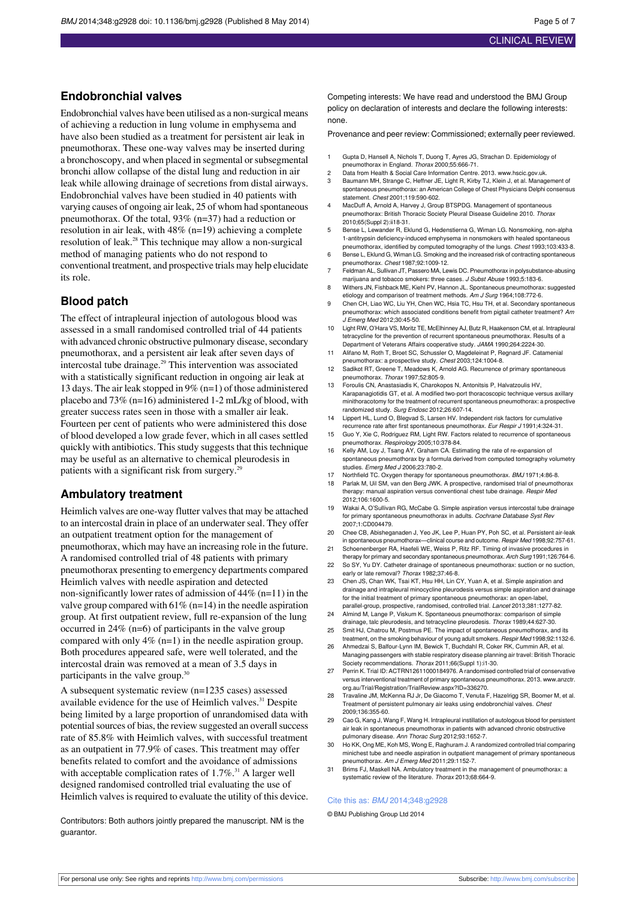#### **Endobronchial valves**

Endobronchial valves have been utilised as a non-surgical means of achieving a reduction in lung volume in emphysema and have also been studied as a treatment for persistent air leak in pneumothorax. These one-way valves may be inserted during a bronchoscopy, and when placed in segmental orsubsegmental bronchi allow collapse of the distal lung and reduction in air leak while allowing drainage of secretions from distal airways. Endobronchial valves have been studied in 40 patients with varying causes of ongoing air leak, 25 of whom had spontaneous pneumothorax. Of the total, 93% (n=37) had a reduction or resolution in air leak, with 48% (n=19) achieving a complete resolution of leak.<sup>28</sup> This technique may allow a non-surgical method of managing patients who do not respond to conventional treatment, and prospective trials may help elucidate its role.

#### **Blood patch**

The effect of intrapleural injection of autologous blood was assessed in a small randomised controlled trial of 44 patients with advanced chronic obstructive pulmonary disease, secondary pneumothorax, and a persistent air leak after seven days of intercostal tube drainage.<sup>29</sup> This intervention was associated with a statistically significant reduction in ongoing air leak at 13 days. The air leak stopped in 9% (n=1) of those administered placebo and 73% (n=16) administered 1-2 mL/kg of blood, with greater success rates seen in those with a smaller air leak. Fourteen per cent of patients who were administered this dose of blood developed a low grade fever, which in all cases settled quickly with antibiotics. This study suggests that this technique may be useful as an alternative to chemical pleurodesis in patients with a significant risk from surgery.<sup>29</sup>

#### **Ambulatory treatment**

Heimlich valves are one-way flutter valves that may be attached to an intercostal drain in place of an underwater seal. They offer an outpatient treatment option for the management of pneumothorax, which may have an increasing role in the future. A randomised controlled trial of 48 patients with primary pneumothorax presenting to emergency departments compared Heimlich valves with needle aspiration and detected non-significantly lower rates of admission of 44% (n=11) in the valve group compared with  $61\%$  (n=14) in the needle aspiration group. At first outpatient review, full re-expansion of the lung occurred in 24% (n=6) of participants in the valve group compared with only  $4\%$  (n=1) in the needle aspiration group. Both procedures appeared safe, were well tolerated, and the intercostal drain was removed at a mean of 3.5 days in participants in the valve group.<sup>30</sup>

A subsequent systematic review (n=1235 cases) assessed available evidence for the use of Heimlich valves.<sup>31</sup> Despite being limited by a large proportion of unrandomised data with potential sources of bias, the review suggested an overall success rate of 85.8% with Heimlich valves, with successful treatment as an outpatient in 77.9% of cases. This treatment may offer benefits related to comfort and the avoidance of admissions with acceptable complication rates of  $1.7\%$ .<sup>31</sup> A larger well designed randomised controlled trial evaluating the use of Heimlich valves is required to evaluate the utility of this device.

Contributors: Both authors jointly prepared the manuscript. NM is the guarantor.

Competing interests: We have read and understood the BMJ Group policy on declaration of interests and declare the following interests: none.

Provenance and peer review: Commissioned; externally peer reviewed.

- 1 Gupta D, Hansell A, Nichols T, Duong T, Ayres JG, Strachan D. Epidemiology of pneumothorax in England. Thorax 2000;55:666-71.
- 2 Data from Health & Social Care Information Centre. 2013. [www.hscic.gov.uk.](http://www.hscic.gov.uk)
- Baumann MH, Strange C, Heffner JE, Light R, Kirby TJ, Klein J, et al. Management of spontaneous pneumothorax: an American College of Chest Physicians Delphi consensus statement. Chest 2001;119:590-602.
- 4 MacDuff A, Arnold A, Harvey J, Group BTSPDG. Management of spontaneous pneumothorax: British Thoracic Society Pleural Disease Guideline 2010. Thorax 2010;65(Suppl 2):ii18-31.
- 5 Bense L, Lewander R, Eklund G, Hedenstierna G, Wiman LG. Nonsmoking, non-alpha 1-antitrypsin deficiency-induced emphysema in nonsmokers with healed spontaneous pneumothorax, identified by computed tomography of the lungs. Chest 1993;103:433-8.
- Bense L, Eklund G, Wiman LG. Smoking and the increased risk of contracting spontaneous pneumothorax. Chest 1987;92:1009-12.
- 7 Feldman AL, Sullivan JT, Passero MA, Lewis DC. Pneumothorax in polysubstance-abusing marijuana and tobacco smokers: three cases. J Subst Abuse 1993;5:183-6.
- 8 Withers JN, Fishback ME, Kiehl PV, Hannon JL. Spontaneous pneumothorax: suggested etiology and comparison of treatment methods. Am J Surg 1964;108:772-6.
- 9 Chen CH, Liao WC, Liu YH, Chen WC, Hsia TC, Hsu TH, et al. Secondary spontaneous pneumothorax: which associated conditions benefit from pigtail catheter treatment? Am J Emerg Med 2012;30:45-50.
- 10 Light RW, O'Hara VS, Moritz TE, McElhinney AJ, Butz R, Haakenson CM, et al. Intrapleural tetracycline for the prevention of recurrent spontaneous pneumothorax. Results of a Department of Veterans Affairs cooperative study. JAMA 1990;264:2224-30.
- 11 Alifano M, Roth T, Broet SC, Schussler O, Magdeleinat P, Regnard JF. Catan
- pneumothorax: a prospective study. Chest 2003;124:1004-8. 12 Sadikot RT, Greene T, Meadows K, Arnold AG. Recurrence of primary spontaneous pneumothorax. Thorax 1997;52:805-9.
- 13 Foroulis CN, Anastasiadis K, Charokopos N, Antonitsis P, Halvatzoulis HV, Karapanagiotidis GT, et al. A modified two-port thoracoscopic technique versus axillary minithoracotomy for the treatment of recurrent spontaneous pneumothorax: a prospective randomized study. Surg Endosc 2012;26:607-14.
- 14 Lippert HL, Lund O, Blegvad S, Larsen HV. Independent risk factors for cumulative recurrence rate after first spontaneous pneumothorax. Eur Respir J 1991;4:324-31.
- 15 Guo Y, Xie C, Rodriguez RM, Light RW. Factors related to recurrence of spontane neumothorax. Respirology 2005;10:378-84.
- 16 Kelly AM, Loy J, Tsang AY, Graham CA. Estimating the rate of re-expansion of spontaneous pneumothorax by a formula derived from computed tomography volumetry studies. Emerg Med J 2006;23:780-2.
- 17 Northfield TC. Oxygen therapy for spontaneous pneumothorax. BMJ 1971;4:86-8. 18 Parlak M, Uil SM, van den Berg JWK. A prospective, randomised trial of pneumothorax
- therapy: manual aspiration versus conventional chest tube drainage. Respir Med 2012;106:1600-5.
- 19 Wakai A, O'Sullivan RG, McCabe G. Simple aspiration versus intercostal tube drainage for primary spontaneous pneumothorax in adults. Cochrane Database Syst Rev 2007;1:CD004479.
- 20 Chee CB, Abisheganaden J, Yeo JK, Lee P, Huan PY, Poh SC, et al. Persistent air-leak in spontaneous pneumothorax—clinical course and outcome. Respir Med 1998;92:757-61.
- 21 Schoenenberger RA, Haefeli WE, Weiss P, Ritz RF. Timing of invasive procedures in therapy for primary and secondary spontaneous pneumothorax. Arch Surg 1991;126:764-6.
- 22 So SY, Yu DY. Catheter drainage of spontaneous pneumothorax: suction or no suction, early or late removal? Thorax 1982;37:46-8.
- 23 Chen JS, Chan WK, Tsai KT, Hsu HH, Lin CY, Yuan A, et al. Simple aspiration and drainage and intrapleural minocycline pleurodesis versus simple aspiration and drainage for the initial treatment of primary spontaneous pneumothorax: an open-label, parallel-group, prospective, randomised, controlled trial. Lancet 2013;381:1277-82.
- Almind M, Lange P, Viskum K. Spontaneous pneumothorax: comparison of simple
- drainage, talc pleurodesis, and tetracycline pleurodesis. Thorax 1989;44:627-30. 25 Smit HJ, Chatrou M, Postmus PE. The impact of spontaneous pneumothorax, and its treatment, on the smoking behaviour of young adult smokers. Respir Med 1998;92:1132-6.
- 26 Ahmedzai S, Balfour-Lynn IM, Bewick T, Buchdahl R, Coker RK, Cummin AR, et al. Managing passengers with stable respiratory disease planning air travel: British Thoracic Society recommendations. Thorax 2011;66(Suppl 1):i1-30.
- 27 Perrin K. Trial ID: ACTRN12611000184976. A randomised controlled trial of conservative versus interventional treatment of primary spontaneous pneumothorax. 2013. [www.anzctr.](http://www.anzctr.org.au/Trial/Registration/TrialReview.aspx?ID=336270) [org.au/Trial/Registration/TrialReview.aspx?ID=336270](http://www.anzctr.org.au/Trial/Registration/TrialReview.aspx?ID=336270).
- 28 Travaline JM, McKenna RJ Jr, De Giacomo T, Venuta F, Hazelrigg SR, Boomer M, et al. Treatment of persistent pulmonary air leaks using endobronchial valves. Chest 2009;136:355-60.
- 29 Cao G, Kang J, Wang F, Wang H. Intrapleural instillation of autologous blood for persistent air leak in spontaneous pneumothorax in patients with advanced chronic obstructive pulmonary disease. Ann Thorac Surg 2012;93:1652-7.
- 30 Ho KK, Ong ME, Koh MS, Wong E, Raghuram J. A randomized controlled trial comparing minichest tube and needle aspiration in outpatient management of primary spontaneous pneumothorax. Am J Emerg Med 2011;29:1152-7.
- 31 Brims FJ, Maskell NA. Ambulatory treatment in the management of pneumothorax: a systematic review of the literature. Thorax 2013;68:664-9.

#### Cite this as: BMJ 2014;348:g2928

© BMJ Publishing Group Ltd 2014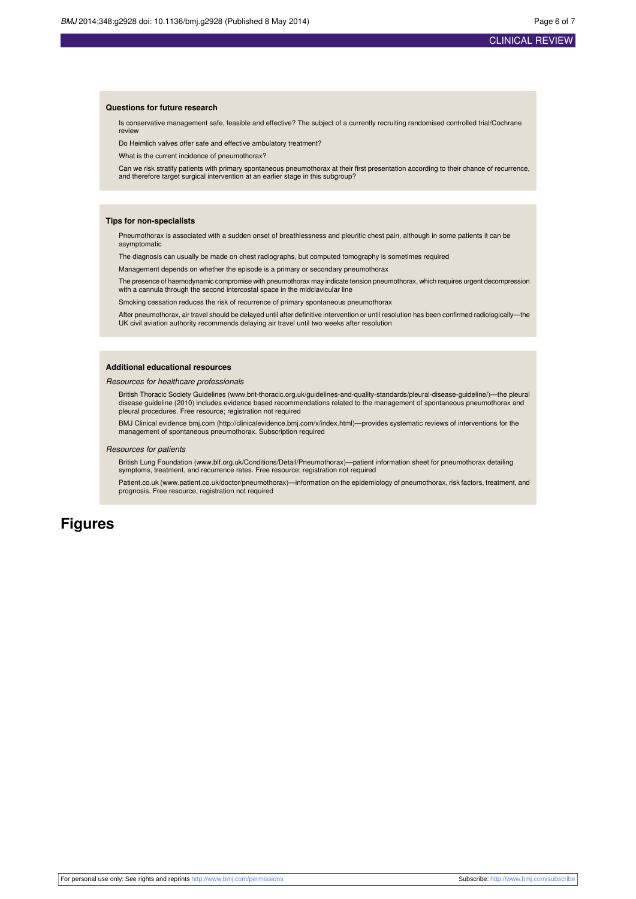#### CLINICAL REVIEW

#### **Questions for future research**

Is conservative management safe, feasible and effective? The subject of a currently recruiting randomised controlled trial/Cochrane review

Do Heimlich valves offer safe and effective ambulatory treatment?

What is the current incidence of pneumothorax?

Can we risk stratify patients with primary spontaneous pneumothorax at their first presentation according to their chance of recurrence, and therefore target surgical intervention at an earlier stage in this subgroup?

#### **Tips for non-specialists**

Pneumothorax is associated with a sudden onset of breathlessness and pleuritic chest pain, although in some patients it can be asymptomatic

The diagnosis can usually be made on chest radiographs, but computed tomography is sometimes required

Management depends on whether the episode is a primary or secondary pneumothorax

The presence of haemodynamic compromise with pneumothorax may indicate tension pneumothorax, which requires urgent decompression with a cannula through the second intercostal space in the midclavicular line

Smoking cessation reduces the risk of recurrence of primary spontaneous pneumothorax

After pneumothorax, air travel should be delayed until after definitive intervention or until resolution has been confirmed radiologically—the UK civil aviation authority recommends delaying air travel until two weeks after resolution

#### **Additional educational resources**

#### Resources for healthcare professionals

British Thoracic Society Guidelines [\(www.brit-thoracic.org.uk/guidelines-and-quality-standards/pleural-disease-guideline/](http://www.brit-thoracic.org.uk/guidelines-and-quality-standards/pleural-disease-guideline/))—the pleural disease guideline (2010) includes evidence based recommendations related to the management of spontaneous pneumothorax and pleural procedures. Free resource; registration not required

BMJ Clinical evidence bmj.com [\(http://clinicalevidence.bmj.com/x/index.html](http://clinicalevidence.bmj.com/x/index.html))—provides systematic reviews of interventions for the management of spontaneous pneumothorax. Subscription required

#### Resources for patients

British Lung Foundation ([www.blf.org.uk/Conditions/Detail/Pneumothorax\)](http://www.blf.org.uk/Conditions/Detail/Pneumothorax)—patient information sheet for pneumothorax detailing symptoms, treatment, and recurrence rates. Free resource; registration not required

Patient.co.uk [\(www.patient.co.uk/doctor/pneumothorax](http://www.patient.co.uk/doctor/pneumothorax))—information on the epidemiology of pneumothorax, risk factors, treatment, and prognosis. Free resource, registration not required

## **Figures**